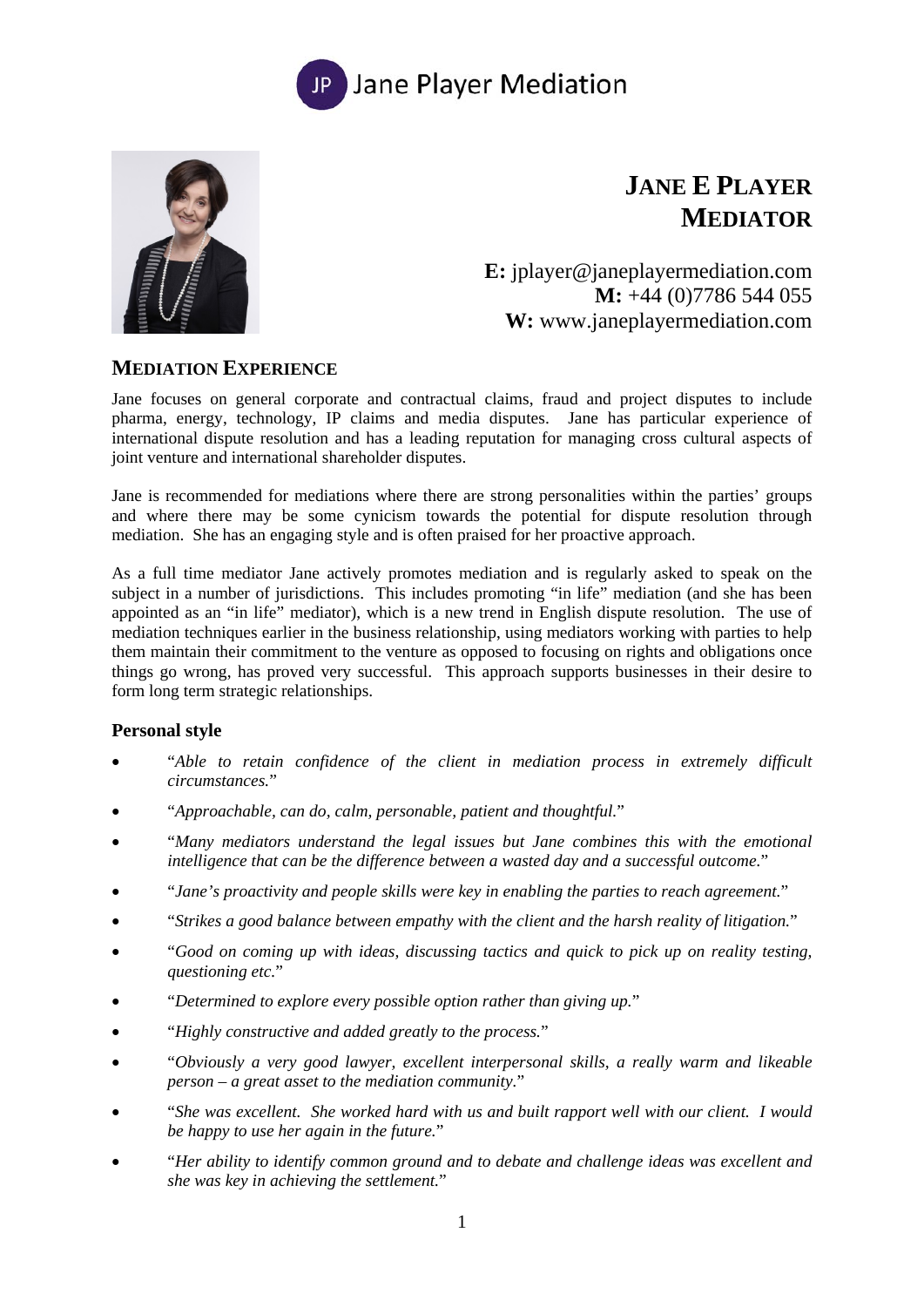



# **JANE E PLAYER MEDIATOR**

**E:** jplayer@janeplayermediation.com **M:** +44 (0)7786 544 055 **W:** www.janeplayermediation.com

# **MEDIATION EXPERIENCE**

Jane focuses on general corporate and contractual claims, fraud and project disputes to include pharma, energy, technology, IP claims and media disputes. Jane has particular experience of international dispute resolution and has a leading reputation for managing cross cultural aspects of joint venture and international shareholder disputes.

Jane is recommended for mediations where there are strong personalities within the parties' groups and where there may be some cynicism towards the potential for dispute resolution through mediation. She has an engaging style and is often praised for her proactive approach.

As a full time mediator Jane actively promotes mediation and is regularly asked to speak on the subject in a number of jurisdictions. This includes promoting "in life" mediation (and she has been appointed as an "in life" mediator), which is a new trend in English dispute resolution. The use of mediation techniques earlier in the business relationship, using mediators working with parties to help them maintain their commitment to the venture as opposed to focusing on rights and obligations once things go wrong, has proved very successful. This approach supports businesses in their desire to form long term strategic relationships.

#### **Personal style**

- "*Able to retain confidence of the client in mediation process in extremely difficult circumstances.*"
- "*Approachable, can do, calm, personable, patient and thoughtful.*"
- "*Many mediators understand the legal issues but Jane combines this with the emotional intelligence that can be the difference between a wasted day and a successful outcome.*"
- "*Jane's proactivity and people skills were key in enabling the parties to reach agreement.*"
- "*Strikes a good balance between empathy with the client and the harsh reality of litigation.*"
- "*Good on coming up with ideas, discussing tactics and quick to pick up on reality testing, questioning etc.*"
- "*Determined to explore every possible option rather than giving up.*"
- "*Highly constructive and added greatly to the process.*"
- "*Obviously a very good lawyer, excellent interpersonal skills, a really warm and likeable person – a great asset to the mediation community.*"
- "*She was excellent. She worked hard with us and built rapport well with our client. I would be happy to use her again in the future.*"
- "*Her ability to identify common ground and to debate and challenge ideas was excellent and she was key in achieving the settlement.*"